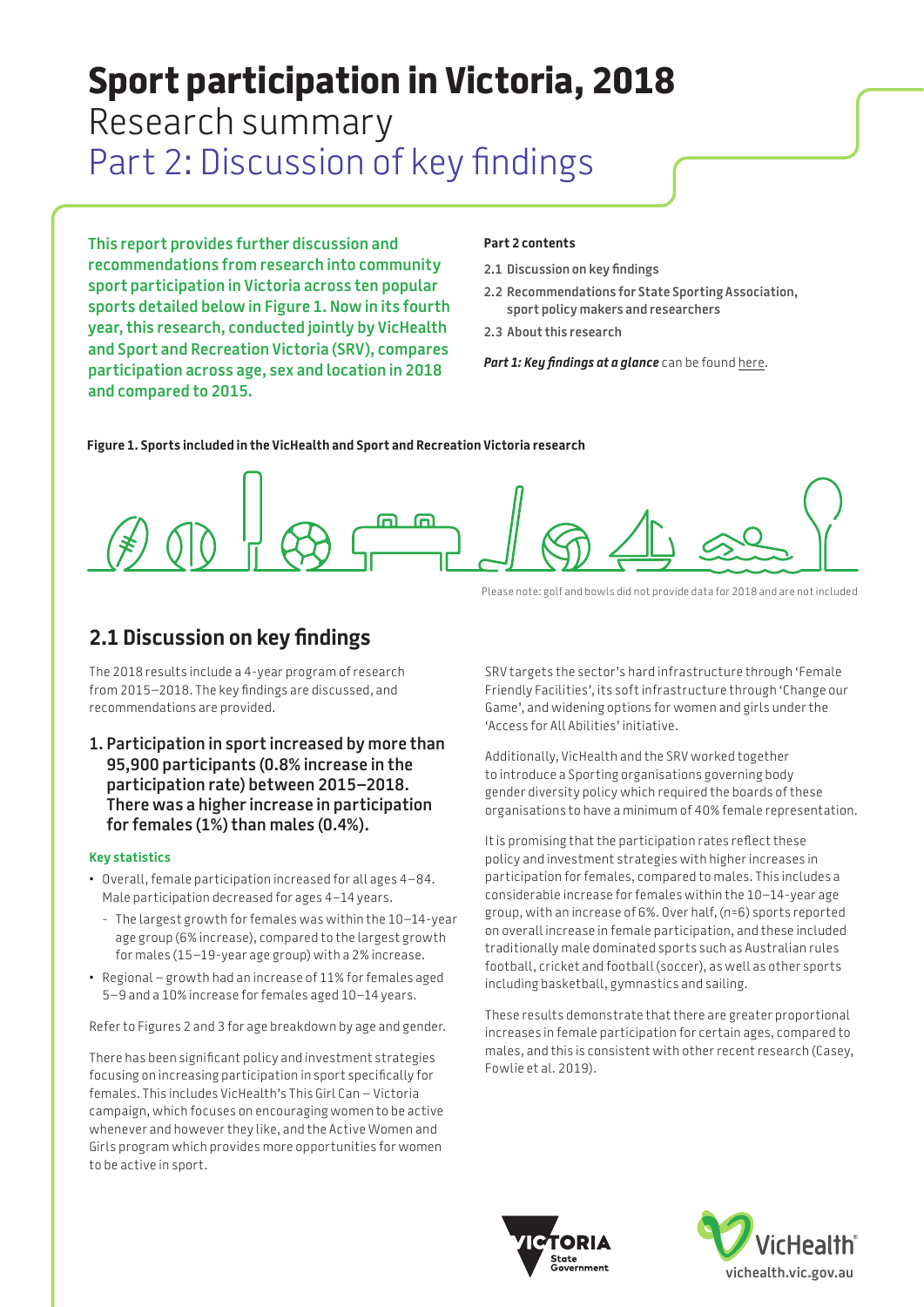# **Sport participation in Victoria, 2018**  Research summary Part 2: Discussion of key findings

**This report provides further discussion and recommendations from research into community sport participation in Victoria across ten popular sports detailed below in Figure 1. Now in its fourth year, this research, conducted jointly by VicHealth and Sport and Recreation Victoria (SRV), compares participation across age, sex and location in 2018 and compared to 2015.** 

#### **Part 2 contents**

- **2.1 Discussion on key findings**
- **[2.2 Recommendations for State Sporting Association,](#page-3-0)  [sport policy makers and researchers](#page-3-0)**
- **[2.3 About this research](#page-4-0)**

*Part 1: Key findings at a glance* can be found [here.](https://www.vichealth.vic.gov.au/-/media/ResourceCentre/PublicationsandResources/Physical-activity/2018-Sport-Participation-Research-Summary_P1.pdf)

**Figure 1. Sports included in the VicHealth and Sport and Recreation Victoria research**



Please note: golf and bowls did not provide data for 2018 and are not included

## **2.1 Discussion on key findings**

The 2018 results include a 4-year program of research from 2015–2018. The key findings are discussed, and recommendations are provided.

**1. Participation in sport increased by more than 95,900 participants (0.8% increase in the participation rate) between 2015–2018. There was a higher increase in participation for females (1%) than males (0.4%).**

#### **Key statistics**

- Overall, female participation increased for all ages 4–84. Male participation decreased for ages 4–14 years.
- The largest growth for females was within the 10–14-year age group (6% increase), compared to the largest growth for males (15–19-year age group) with a 2% increase.
- Regional growth had an increase of 11% for females aged 5–9 and a 10% increase for females aged 10–14 years.

Refer to Figures 2 and 3 for age breakdown by age and gender.

There has been significant policy and investment strategies focusing on increasing participation in sport specifically for females. This includes VicHealth's This Girl Can – Victoria campaign, which focuses on encouraging women to be active whenever and however they like, and the Active Women and Girls program which provides more opportunities for women to be active in sport.

SRV targets the sector's hard infrastructure through 'Female Friendly Facilities', its soft infrastructure through 'Change our Game', and widening options for women and girls under the 'Access for All Abilities' initiative.

Additionally, VicHealth and the SRV worked together to introduce a Sporting organisations governing body gender diversity policy which required the boards of these organisations to have a minimum of 40% female representation.

It is promising that the participation rates reflect these policy and investment strategies with higher increases in participation for females, compared to males. This includes a considerable increase for females within the 10–14-year age group, with an increase of 6%. Over half, (n=6) sports reported on overall increase in female participation, and these included traditionally male dominated sports such as Australian rules football, cricket and football (soccer), as well as other sports including basketball, gymnastics and sailing.

These results demonstrate that there are greater proportional increases in female participation for certain ages, compared to males, and this is consistent with other recent research (Casey, Fowlie et al. 2019).



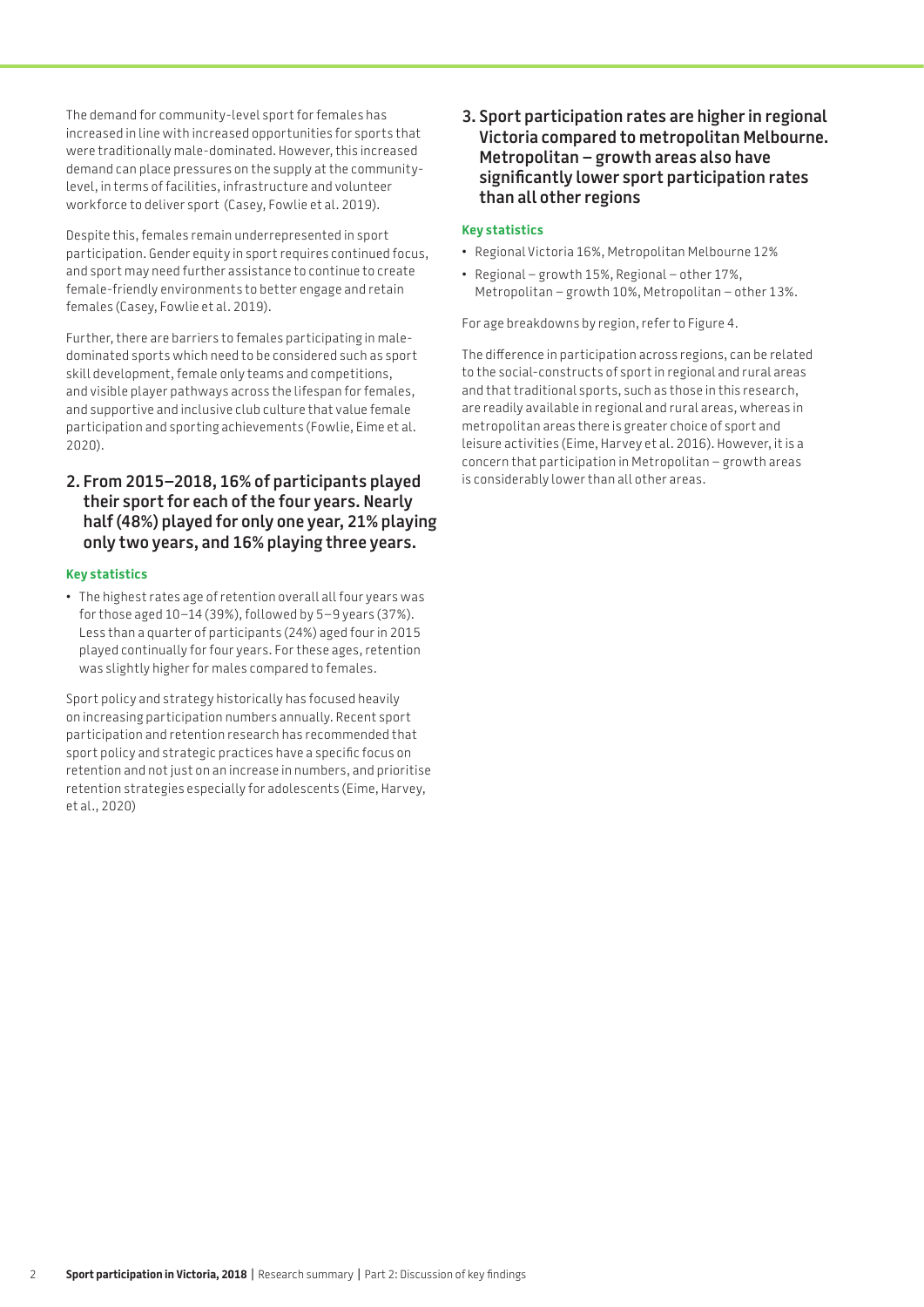The demand for community-level sport for females has increased in line with increased opportunities for sports that were traditionally male-dominated. However, this increased demand can place pressures on the supply at the communitylevel, in terms of facilities, infrastructure and volunteer workforce to deliver sport (Casey, Fowlie et al. 2019).

Despite this, females remain underrepresented in sport participation. Gender equity in sport requires continued focus, and sport may need further assistance to continue to create female-friendly environments to better engage and retain females (Casey, Fowlie et al. 2019).

Further, there are barriers to females participating in maledominated sports which need to be considered such as sport skill development, female only teams and competitions, and visible player pathways across the lifespan for females, and supportive and inclusive club culture that value female participation and sporting achievements (Fowlie, Eime et al. 2020).

### **2. From 2015–2018, 16% of participants played their sport for each of the four years. Nearly half (48%) played for only one year, 21% playing only two years, and 16% playing three years.**

#### **Key statistics**

• The highest rates age of retention overall all four years was for those aged 10–14 (39%), followed by 5–9 years (37%). Less than a quarter of participants (24%) aged four in 2015 played continually for four years. For these ages, retention was slightly higher for males compared to females.

Sport policy and strategy historically has focused heavily on increasing participation numbers annually. Recent sport participation and retention research has recommended that sport policy and strategic practices have a specific focus on retention and not just on an increase in numbers, and prioritise retention strategies especially for adolescents (Eime, Harvey, et al., 2020)

**3. Sport participation rates are higher in regional Victoria compared to metropolitan Melbourne. Metropolitan – growth areas also have significantly lower sport participation rates than all other regions**

#### **Key statistics**

- Regional Victoria 16%, Metropolitan Melbourne 12%
- Regional growth 15%, Regional other 17%, Metropolitan – growth 10%, Metropolitan – other 13%.

For age breakdowns by region, refer to Figure 4.

The difference in participation across regions, can be related to the social-constructs of sport in regional and rural areas and that traditional sports, such as those in this research, are readily available in regional and rural areas, whereas in metropolitan areas there is greater choice of sport and leisure activities (Eime, Harvey et al. 2016). However, it is a concern that participation in Metropolitan – growth areas is considerably lower than all other areas.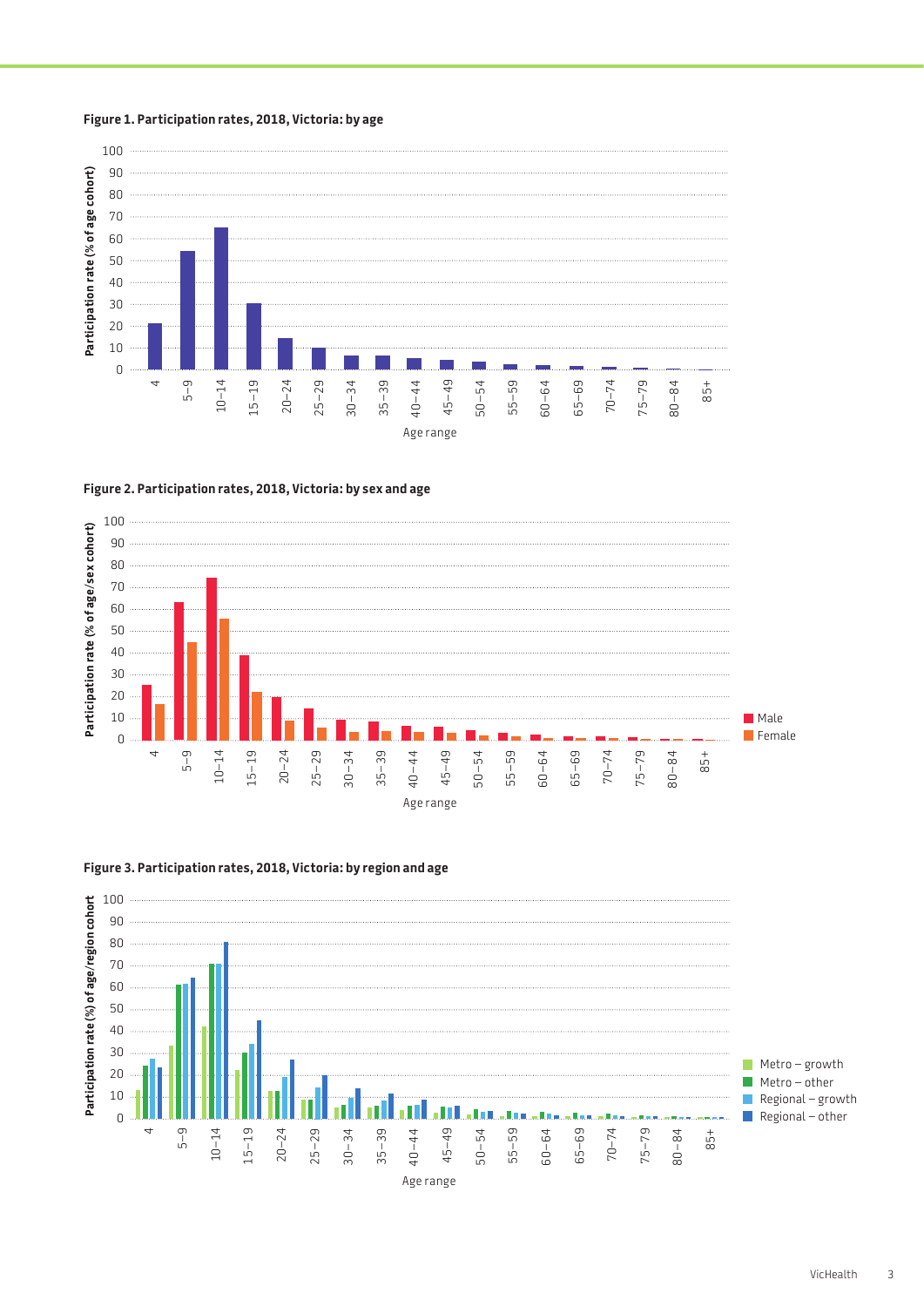



**Figure 2. Participation rates, 2018, Victoria: by sex and age**





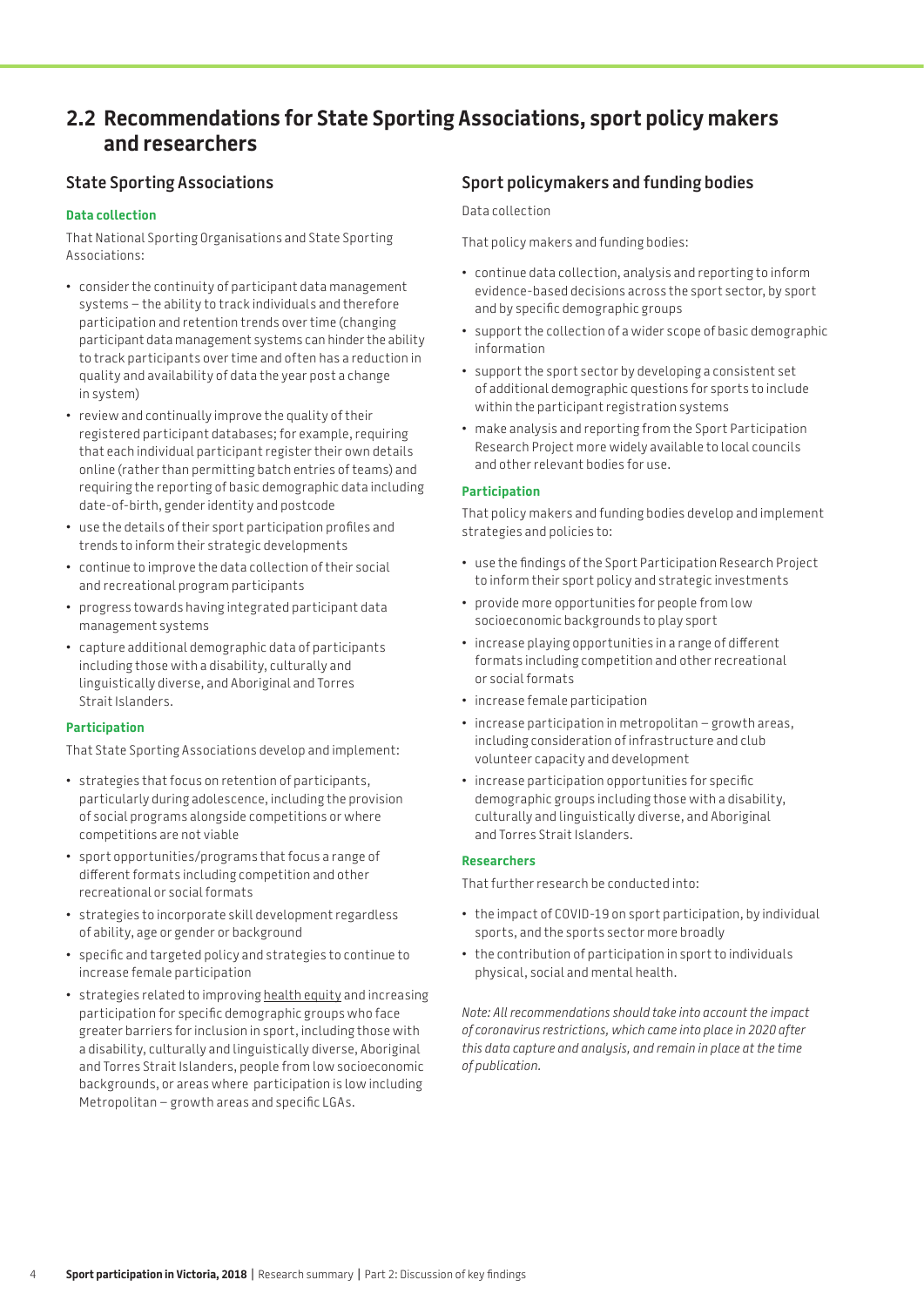# <span id="page-3-0"></span>**2.2 Recommendations for State Sporting Associations, sport policy makers and researchers**

### **State Sporting Associations**

#### **Data collection**

That National Sporting Organisations and State Sporting Associations:

- consider the continuity of participant data management systems – the ability to track individuals and therefore participation and retention trends over time (changing participant data management systems can hinder the ability to track participants over time and often has a reduction in quality and availability of data the year post a change in system)
- review and continually improve the quality of their registered participant databases; for example, requiring that each individual participant register their own details online (rather than permitting batch entries of teams) and requiring the reporting of basic demographic data including date-of-birth, gender identity and postcode
- use the details of their sport participation profiles and trends to inform their strategic developments
- continue to improve the data collection of their social and recreational program participants
- progress towards having integrated participant data management systems
- capture additional demographic data of participants including those with a disability, culturally and linguistically diverse, and Aboriginal and Torres Strait Islanders.

#### **Participation**

That State Sporting Associations develop and implement:

- strategies that focus on retention of participants, particularly during adolescence, including the provision of social programs alongside competitions or where competitions are not viable
- sport opportunities/programs that focus a range of different formats including competition and other recreational or social formats
- strategies to incorporate skill development regardless of ability, age or gender or background
- specific and targeted policy and strategies to continue to increase female participation
- strategies related to improving [health equity](https://www.vichealth.vic.gov.au/media-and-resources/publications/vichealth-health-equity-strategy) and increasing participation for specific demographic groups who face greater barriers for inclusion in sport, including those with a disability, culturally and linguistically diverse, Aboriginal and Torres Strait Islanders, people from low socioeconomic backgrounds, or areas where participation is low including Metropolitan – growth areas and specific LGAs.

### **Sport policymakers and funding bodies**

#### Data collection

That policy makers and funding bodies:

- continue data collection, analysis and reporting to inform evidence-based decisions across the sport sector, by sport and by specific demographic groups
- support the collection of a wider scope of basic demographic information
- support the sport sector by developing a consistent set of additional demographic questions for sports to include within the participant registration systems
- make analysis and reporting from the Sport Participation Research Project more widely available to local councils and other relevant bodies for use.

#### **Participation**

That policy makers and funding bodies develop and implement strategies and policies to:

- use the findings of the Sport Participation Research Project to inform their sport policy and strategic investments
- provide more opportunities for people from low socioeconomic backgrounds to play sport
- increase playing opportunities in a range of different formats including competition and other recreational or social formats
- increase female participation
- increase participation in metropolitan growth areas, including consideration of infrastructure and club volunteer capacity and development
- increase participation opportunities for specific demographic groups including those with a disability, culturally and linguistically diverse, and Aboriginal and Torres Strait Islanders.

#### **Researchers**

That further research be conducted into:

- the impact of COVID-19 on sport participation, by individual sports, and the sports sector more broadly
- the contribution of participation in sport to individuals physical, social and mental health.

*Note: All recommendations should take into account the impact of coronavirus restrictions, which came into place in 2020 after this data capture and analysis, and remain in place at the time of publication.*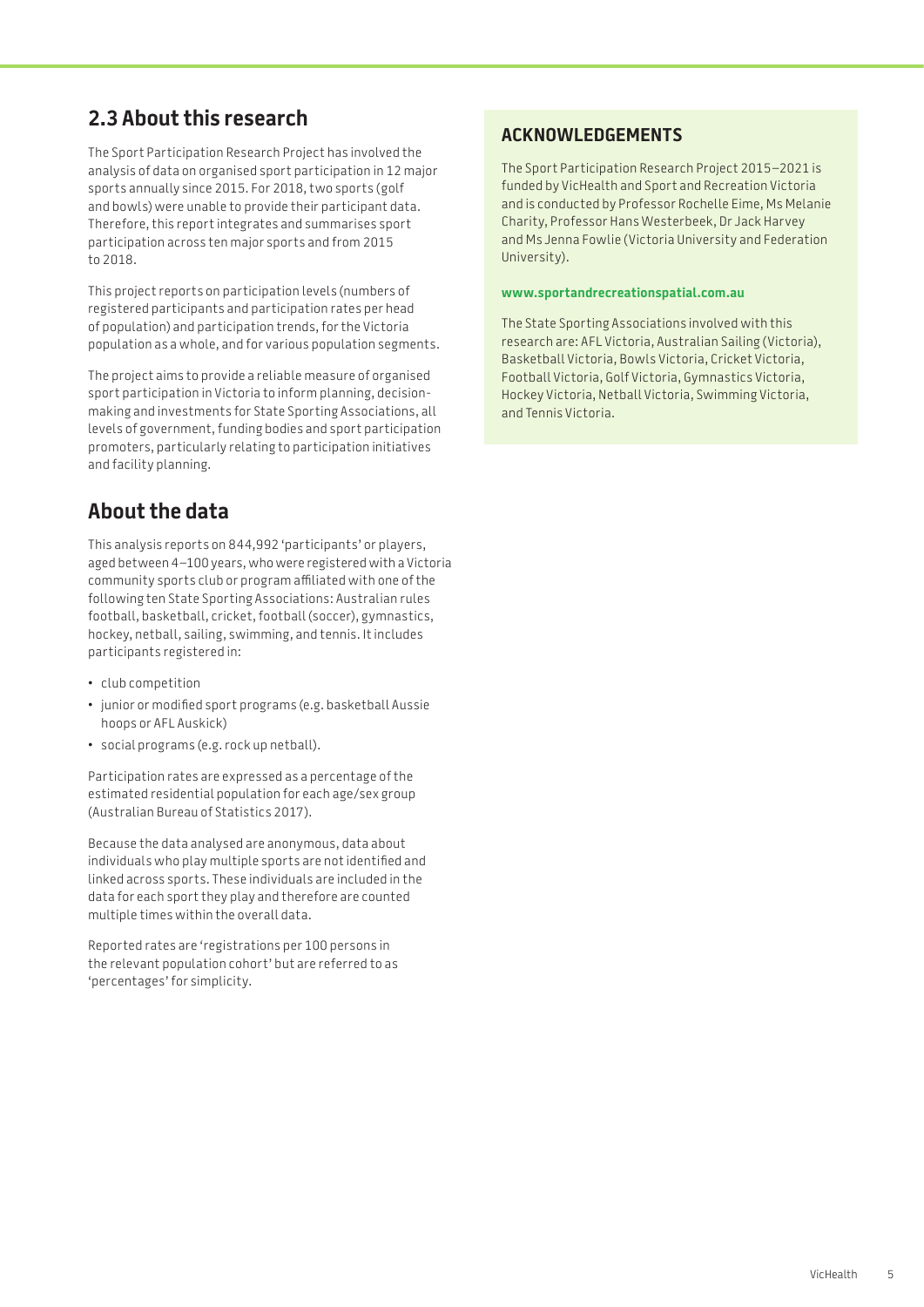# <span id="page-4-0"></span>**2.3 About this research**

The Sport Participation Research Project has involved the analysis of data on organised sport participation in 12 major sports annually since 2015. For 2018, two sports (golf and bowls) were unable to provide their participant data. Therefore, this report integrates and summarises sport participation across ten major sports and from 2015 to 2018.

This project reports on participation levels (numbers of registered participants and participation rates per head of population) and participation trends, for the Victoria population as a whole, and for various population segments.

The project aims to provide a reliable measure of organised sport participation in Victoria to inform planning, decisionmaking and investments for State Sporting Associations, all levels of government, funding bodies and sport participation promoters, particularly relating to participation initiatives and facility planning.

# **About the data**

This analysis reports on 844,992 'participants' or players, aged between 4–100 years, who were registered with a Victoria community sports club or program affiliated with one of the following ten State Sporting Associations: Australian rules football, basketball, cricket, football (soccer), gymnastics, hockey, netball, sailing, swimming, and tennis. It includes participants registered in:

- club competition
- junior or modified sport programs (e.g. basketball Aussie hoops or AFL Auskick)
- social programs (e.g. rock up netball).

Participation rates are expressed as a percentage of the estimated residential population for each age/sex group (Australian Bureau of Statistics 2017).

Because the data analysed are anonymous, data about individuals who play multiple sports are not identified and linked across sports. These individuals are included in the data for each sport they play and therefore are counted multiple times within the overall data.

Reported rates are 'registrations per 100 persons in the relevant population cohort' but are referred to as 'percentages' for simplicity.

### **ACKNOWLEDGEMENTS**

The Sport Participation Research Project 2015–2021 is funded by VicHealth and Sport and Recreation Victoria and is conducted by Professor Rochelle Eime, Ms Melanie Charity, Professor Hans Westerbeek, Dr Jack Harvey and Ms Jenna Fowlie (Victoria University and Federation University).

#### **[www.sportandrecreationspatial.com.au](http://www.sportandrecreationspatial.com.au)**

The State Sporting Associations involved with this research are: AFL Victoria, Australian Sailing (Victoria), Basketball Victoria, Bowls Victoria, Cricket Victoria, Football Victoria, Golf Victoria, Gymnastics Victoria, Hockey Victoria, Netball Victoria, Swimming Victoria, and Tennis Victoria.